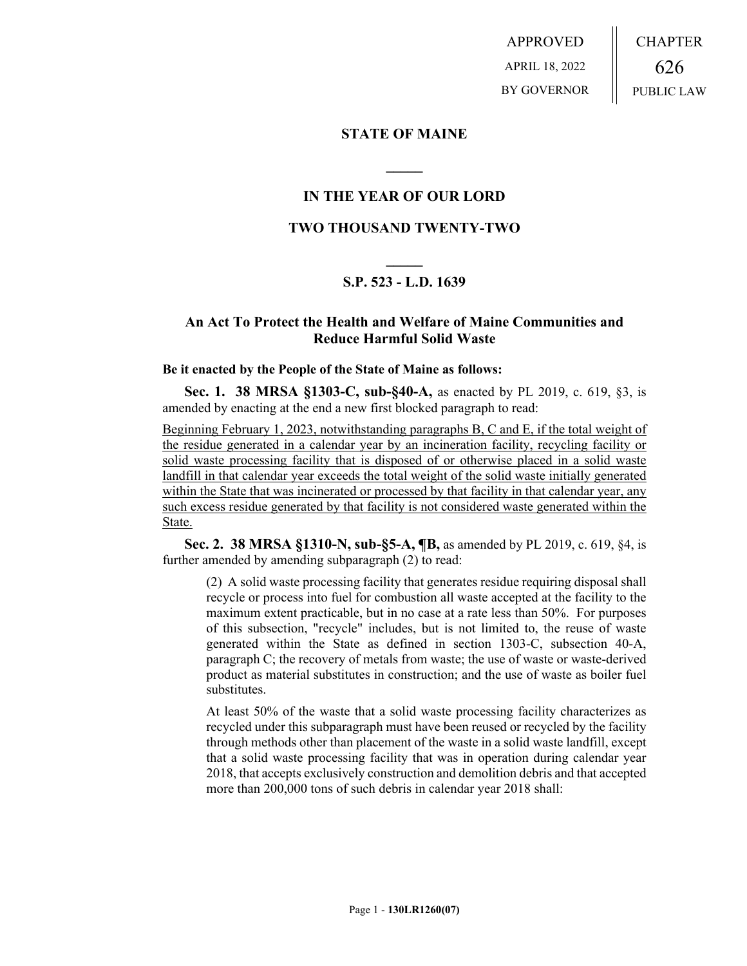APPROVED APRIL 18, 2022 BY GOVERNOR CHAPTER 626 PUBLIC LAW

### **STATE OF MAINE**

## **IN THE YEAR OF OUR LORD**

**\_\_\_\_\_**

### **TWO THOUSAND TWENTY-TWO**

# **\_\_\_\_\_ S.P. 523 - L.D. 1639**

## **An Act To Protect the Health and Welfare of Maine Communities and Reduce Harmful Solid Waste**

#### **Be it enacted by the People of the State of Maine as follows:**

**Sec. 1. 38 MRSA §1303-C, sub-§40-A,** as enacted by PL 2019, c. 619, §3, is amended by enacting at the end a new first blocked paragraph to read:

Beginning February 1, 2023, notwithstanding paragraphs B, C and E, if the total weight of the residue generated in a calendar year by an incineration facility, recycling facility or solid waste processing facility that is disposed of or otherwise placed in a solid waste landfill in that calendar year exceeds the total weight of the solid waste initially generated within the State that was incinerated or processed by that facility in that calendar year, any such excess residue generated by that facility is not considered waste generated within the State.

**Sec. 2. 38 MRSA §1310-N, sub-§5-A, ¶B,** as amended by PL 2019, c. 619, §4, is further amended by amending subparagraph (2) to read:

(2) A solid waste processing facility that generates residue requiring disposal shall recycle or process into fuel for combustion all waste accepted at the facility to the maximum extent practicable, but in no case at a rate less than 50%. For purposes of this subsection, "recycle" includes, but is not limited to, the reuse of waste generated within the State as defined in section 1303-C, subsection 40-A, paragraph C; the recovery of metals from waste; the use of waste or waste-derived product as material substitutes in construction; and the use of waste as boiler fuel substitutes.

At least 50% of the waste that a solid waste processing facility characterizes as recycled under this subparagraph must have been reused or recycled by the facility through methods other than placement of the waste in a solid waste landfill, except that a solid waste processing facility that was in operation during calendar year 2018, that accepts exclusively construction and demolition debris and that accepted more than 200,000 tons of such debris in calendar year 2018 shall: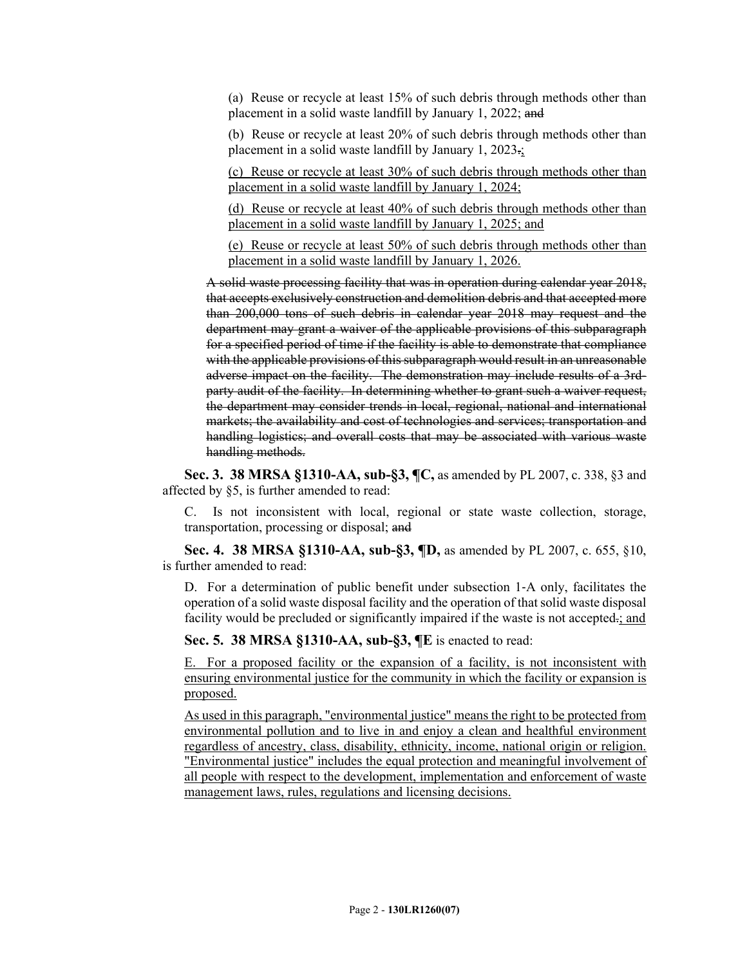(a) Reuse or recycle at least 15% of such debris through methods other than placement in a solid waste landfill by January 1, 2022; and

(b) Reuse or recycle at least 20% of such debris through methods other than placement in a solid waste landfill by January 1, 2023.;

(c) Reuse or recycle at least 30% of such debris through methods other than placement in a solid waste landfill by January 1, 2024;

(d) Reuse or recycle at least 40% of such debris through methods other than placement in a solid waste landfill by January 1, 2025; and

(e) Reuse or recycle at least 50% of such debris through methods other than placement in a solid waste landfill by January 1, 2026.

A solid waste processing facility that was in operation during calendar year 2018, that accepts exclusively construction and demolition debris and that accepted more than 200,000 tons of such debris in calendar year 2018 may request and the department may grant a waiver of the applicable provisions of this subparagraph for a specified period of time if the facility is able to demonstrate that compliance with the applicable provisions of this subparagraph would result in an unreasonable adverse impact on the facility. The demonstration may include results of a 3rdparty audit of the facility. In determining whether to grant such a waiver request, the department may consider trends in local, regional, national and international markets; the availability and cost of technologies and services; transportation and handling logistics; and overall costs that may be associated with various waste handling methods.

**Sec. 3. 38 MRSA §1310-AA, sub-§3, ¶C,** as amended by PL 2007, c. 338, §3 and affected by §5, is further amended to read:

C. Is not inconsistent with local, regional or state waste collection, storage, transportation, processing or disposal; and

**Sec. 4. 38 MRSA §1310-AA, sub-§3, ¶D,** as amended by PL 2007, c. 655, §10, is further amended to read:

D. For a determination of public benefit under subsection 1–A only, facilitates the operation of a solid waste disposal facility and the operation of that solid waste disposal facility would be precluded or significantly impaired if the waste is not accepted.; and

**Sec. 5. 38 MRSA §1310-AA, sub-§3, ¶E** is enacted to read:

E. For a proposed facility or the expansion of a facility, is not inconsistent with ensuring environmental justice for the community in which the facility or expansion is proposed.

As used in this paragraph, "environmental justice" means the right to be protected from environmental pollution and to live in and enjoy a clean and healthful environment regardless of ancestry, class, disability, ethnicity, income, national origin or religion. "Environmental justice" includes the equal protection and meaningful involvement of all people with respect to the development, implementation and enforcement of waste management laws, rules, regulations and licensing decisions.